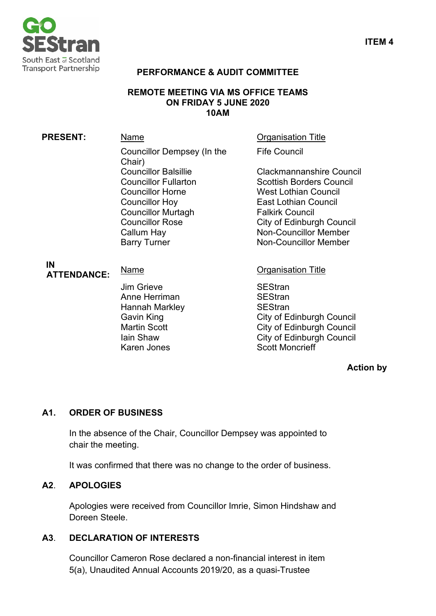

#### **PERFORMANCE & AUDIT COMMITTEE**

#### **REMOTE MEETING VIA MS OFFICE TEAMS ON FRIDAY 5 JUNE 2020 10AM**

# **PRESENT:** Name **Name** Organisation Title Councillor Dempsey (In the Chair)<br>Councillor Balsillie Councillor Balsillie Clackmannanshire Council<br>Councillor Fullarton Scottish Borders Council Councillor Horne West Lothian Council Councillor Hoy East Lothian Council Councillor Murtagh<br>Councillor Rose Callum Hay **Non-Councillor Member** Barry Turner Non-Councillor Member

Fife Council

Scottish Borders Council City of Edinburgh Council

#### **IN ATTENDANCE:** Name **Name** Organisation Title

Jim Grieve SEStran Anne Herriman SEStran Hannah Markley **SEStran** Karen Jones Scott Moncrieff

Gavin King **City of Edinburgh Council** Martin Scott **City of Edinburgh Council** Iain Shaw City of Edinburgh Council

#### **Action by**

## **A1. ORDER OF BUSINESS**

In the absence of the Chair, Councillor Dempsey was appointed to chair the meeting.

It was confirmed that there was no change to the order of business.

#### **A2**. **APOLOGIES**

Apologies were received from Councillor Imrie, Simon Hindshaw and Doreen Steele.

#### **A3**. **DECLARATION OF INTERESTS**

Councillor Cameron Rose declared a non-financial interest in item 5(a), Unaudited Annual Accounts 2019/20, as a quasi-Trustee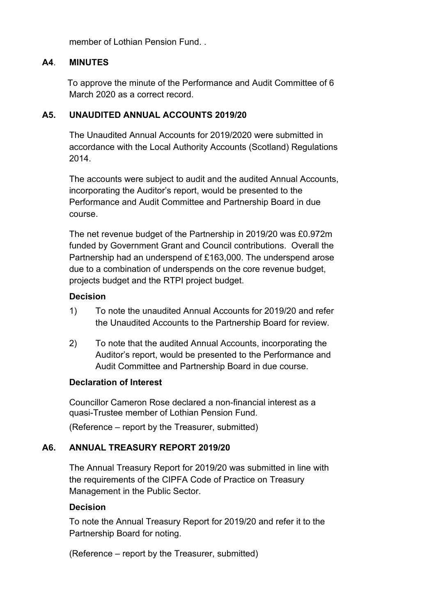member of Lothian Pension Fund.

#### **A4**. **MINUTES**

To approve the minute of the Performance and Audit Committee of 6 March 2020 as a correct record.

#### **A5. UNAUDITED ANNUAL ACCOUNTS 2019/20**

The Unaudited Annual Accounts for 2019/2020 were submitted in accordance with the Local Authority Accounts (Scotland) Regulations 2014.

The accounts were subject to audit and the audited Annual Accounts, incorporating the Auditor's report, would be presented to the Performance and Audit Committee and Partnership Board in due course.

The net revenue budget of the Partnership in 2019/20 was £0.972m funded by Government Grant and Council contributions. Overall the Partnership had an underspend of £163,000. The underspend arose due to a combination of underspends on the core revenue budget, projects budget and the RTPI project budget.

#### **Decision**

- 1) To note the unaudited Annual Accounts for 2019/20 and refer the Unaudited Accounts to the Partnership Board for review.
- 2) To note that the audited Annual Accounts, incorporating the Auditor's report, would be presented to the Performance and Audit Committee and Partnership Board in due course.

#### **Declaration of Interest**

Councillor Cameron Rose declared a non-financial interest as a quasi-Trustee member of Lothian Pension Fund.

(Reference – report by the Treasurer, submitted)

## **A6. ANNUAL TREASURY REPORT 2019/20**

The Annual Treasury Report for 2019/20 was submitted in line with the requirements of the CIPFA Code of Practice on Treasury Management in the Public Sector.

#### **Decision**

To note the Annual Treasury Report for 2019/20 and refer it to the Partnership Board for noting.

(Reference – report by the Treasurer, submitted)